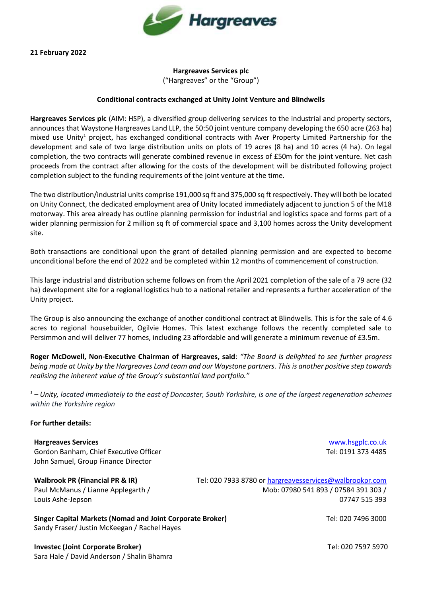

**21 February 2022**

## **Hargreaves Services plc**  ("Hargreaves" or the "Group")

## **Conditional contracts exchanged at Unity Joint Venture and Blindwells**

**Hargreaves Services plc** (AIM: HSP), a diversified group delivering services to the industrial and property sectors, announces that Waystone Hargreaves Land LLP, the 50:50 joint venture company developing the 650 acre (263 ha) mixed use Unity<sup>1</sup> project, has exchanged conditional contracts with Aver Property Limited Partnership for the development and sale of two large distribution units on plots of 19 acres (8 ha) and 10 acres (4 ha). On legal completion, the two contracts will generate combined revenue in excess of £50m for the joint venture. Net cash proceeds from the contract after allowing for the costs of the development will be distributed following project completion subject to the funding requirements of the joint venture at the time.

The two distribution/industrial units comprise 191,000 sq ft and 375,000 sq ft respectively. They will both be located on Unity Connect, the dedicated employment area of Unity located immediately adjacent to junction 5 of the M18 motorway. This area already has outline planning permission for industrial and logistics space and forms part of a wider planning permission for 2 million sq ft of commercial space and 3,100 homes across the Unity development site.

Both transactions are conditional upon the grant of detailed planning permission and are expected to become unconditional before the end of 2022 and be completed within 12 months of commencement of construction.

This large industrial and distribution scheme follows on from the April 2021 completion of the sale of a 79 acre (32 ha) development site for a regional logistics hub to a national retailer and represents a further acceleration of the Unity project.

The Group is also announcing the exchange of another conditional contract at Blindwells. This is for the sale of 4.6 acres to regional housebuilder, Ogilvie Homes. This latest exchange follows the recently completed sale to Persimmon and will deliver 77 homes, including 23 affordable and will generate a minimum revenue of £3.5m.

**Roger McDowell, Non-Executive Chairman of Hargreaves, said**: *"The Board is delighted to see further progress being made at Unity by the Hargreaves Land team and our Waystone partners. This is another positive step towards realising the inherent value of the Group's substantial land portfolio."*

*<sup>1</sup> – Unity, located immediately to the east of Doncaster, South Yorkshire, is one of the largest regeneration schemes within the Yorkshire region*

## **For further details:**

**Hargreaves Services** [www.hsgplc.co.uk](http://www.hsgplc.co.uk/) Gordon Banham, Chief Executive Officer Tel: 0191 373 4485 John Samuel, Group Finance Director

**Walbrook PR (Financial PR & IR)** Tel: 020 7933 8780 or [hargreavesservices@walbrookpr.com](mailto:hargreavesservices@walbrookpr.com) Paul McManus / Lianne Applegarth / Mob: 07980 541 893 / 07584 391 303 / Louis Ashe-Jepson 07747 515 393

**Singer Capital Markets (Nomad and Joint Corporate Broker)** Tel: 020 7496 3000 Sandy Fraser/ Justin McKeegan / Rachel Hayes

**Investec (Joint Corporate Broker)** Tel: 020 7597 5970 Sara Hale / David Anderson / Shalin Bhamra